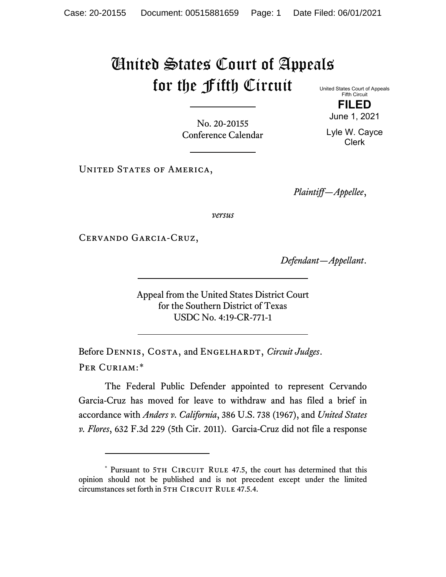## United States Court of Appeals for the Fifth Circuit United States Court of Appeals

Fifth Circuit **FILED**

June 1, 2021

No. 20-20155 Conference Calendar

Lyle W. Cayce Clerk

UNITED STATES OF AMERICA,

*Plaintiff—Appellee*,

*versus*

Cervando Garcia-Cruz,

*Defendant—Appellant*.

Appeal from the United States District Court for the Southern District of Texas USDC No. 4:19-CR-771-1

Before DENNIS, COSTA, and ENGELHARDT, *Circuit Judges*. Per Curiam:[\\*](#page-0-0)

The Federal Public Defender appointed to represent Cervando Garcia-Cruz has moved for leave to withdraw and has filed a brief in accordance with *Anders v. California*, 386 U.S. 738 (1967), and *United States v. Flores*, 632 F.3d 229 (5th Cir. 2011). Garcia-Cruz did not file a response

<span id="page-0-0"></span><sup>\*</sup> Pursuant to 5TH CIRCUIT RULE 47.5, the court has determined that this opinion should not be published and is not precedent except under the limited circumstances set forth in 5TH CIRCUIT RULE 47.5.4.